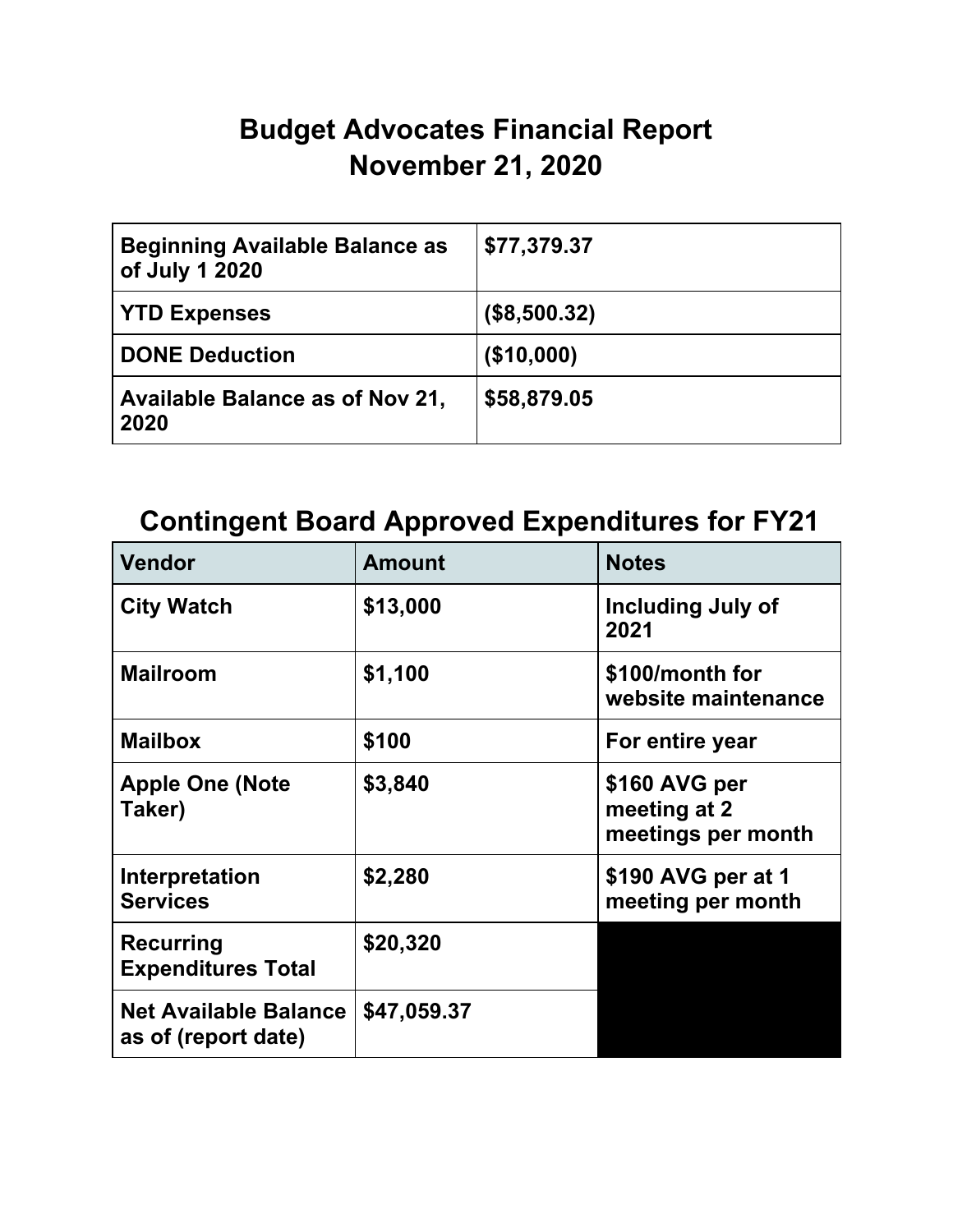## **Budget Advocates Financial Report November 21, 2020**

| <b>Beginning Available Balance as</b><br>of July 1 2020 | \$77,379.37  |
|---------------------------------------------------------|--------------|
| <b>YTD Expenses</b>                                     | (\$8,500.32) |
| <b>DONE Deduction</b>                                   | (\$10,000)   |
| Available Balance as of Nov 21,<br>2020                 | \$58,879.05  |

## **Contingent Board Approved Expenditures for FY21**

| <b>Vendor</b>                                       | <b>Amount</b> | <b>Notes</b>                                        |  |
|-----------------------------------------------------|---------------|-----------------------------------------------------|--|
| <b>City Watch</b>                                   | \$13,000      | <b>Including July of</b><br>2021                    |  |
| <b>Mailroom</b>                                     | \$1,100       | \$100/month for<br>website maintenance              |  |
| <b>Mailbox</b>                                      | \$100         | For entire year                                     |  |
| <b>Apple One (Note</b><br>Taker)                    | \$3,840       | \$160 AVG per<br>meeting at 2<br>meetings per month |  |
| Interpretation<br><b>Services</b>                   | \$2,280       | \$190 AVG per at 1<br>meeting per month             |  |
| <b>Recurring</b><br><b>Expenditures Total</b>       | \$20,320      |                                                     |  |
| <b>Net Available Balance</b><br>as of (report date) | \$47,059.37   |                                                     |  |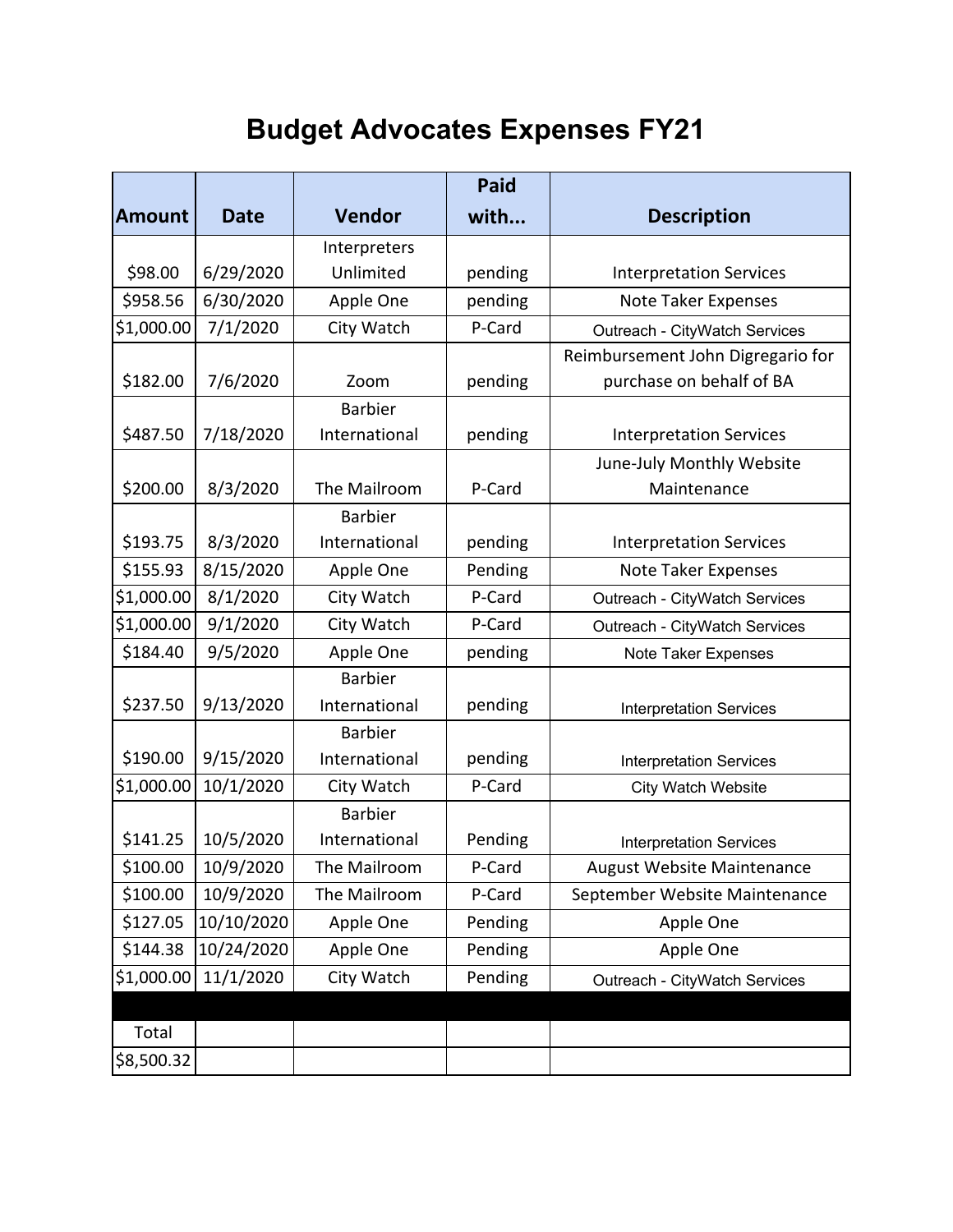## **Budget Advocates Expenses FY21**

|               | <b>Paid</b> |                |         |                                   |  |
|---------------|-------------|----------------|---------|-----------------------------------|--|
| <b>Amount</b> | <b>Date</b> | <b>Vendor</b>  | with    | <b>Description</b>                |  |
|               |             | Interpreters   |         |                                   |  |
| \$98.00       | 6/29/2020   | Unlimited      | pending | <b>Interpretation Services</b>    |  |
| \$958.56      | 6/30/2020   | Apple One      | pending | Note Taker Expenses               |  |
| \$1,000.00    | 7/1/2020    | City Watch     | P-Card  | Outreach - CityWatch Services     |  |
|               |             |                |         | Reimbursement John Digregario for |  |
| \$182.00      | 7/6/2020    | Zoom           | pending | purchase on behalf of BA          |  |
|               |             | <b>Barbier</b> |         |                                   |  |
| \$487.50      | 7/18/2020   | International  | pending | <b>Interpretation Services</b>    |  |
|               |             |                |         | June-July Monthly Website         |  |
| \$200.00      | 8/3/2020    | The Mailroom   | P-Card  | Maintenance                       |  |
|               |             | <b>Barbier</b> |         |                                   |  |
| \$193.75      | 8/3/2020    | International  | pending | <b>Interpretation Services</b>    |  |
| \$155.93      | 8/15/2020   | Apple One      | Pending | Note Taker Expenses               |  |
| \$1,000.00    | 8/1/2020    | City Watch     | P-Card  | Outreach - CityWatch Services     |  |
| \$1,000.00    | 9/1/2020    | City Watch     | P-Card  | Outreach - CityWatch Services     |  |
| \$184.40      | 9/5/2020    | Apple One      | pending | Note Taker Expenses               |  |
|               |             | <b>Barbier</b> |         |                                   |  |
| \$237.50      | 9/13/2020   | International  | pending | <b>Interpretation Services</b>    |  |
|               |             | <b>Barbier</b> |         |                                   |  |
| \$190.00      | 9/15/2020   | International  | pending | <b>Interpretation Services</b>    |  |
| \$1,000.00    | 10/1/2020   | City Watch     | P-Card  | <b>City Watch Website</b>         |  |
|               |             | <b>Barbier</b> |         |                                   |  |
| \$141.25      | 10/5/2020   | International  | Pending | <b>Interpretation Services</b>    |  |
| \$100.00      | 10/9/2020   | The Mailroom   | P-Card  | August Website Maintenance        |  |
| \$100.00      | 10/9/2020   | The Mailroom   | P-Card  | September Website Maintenance     |  |
| \$127.05      | 10/10/2020  | Apple One      | Pending | Apple One                         |  |
| \$144.38      | 10/24/2020  | Apple One      | Pending | Apple One                         |  |
| \$1,000.00    | 11/1/2020   | City Watch     | Pending | Outreach - CityWatch Services     |  |
|               |             |                |         |                                   |  |
| Total         |             |                |         |                                   |  |
| \$8,500.32    |             |                |         |                                   |  |